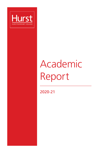

# Academic Report

2020-21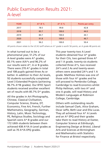# Public Examination Results 2021: A-level

| <b>YEAR</b> | $A^*$ -B % | $A^*$ –E % | <b>Points per entry</b> |
|-------------|------------|------------|-------------------------|
| 2017        | 78.5       | 99.8       | 42.8                    |
| 2018        | 83.7       | 100.0      | 44.0                    |
| 2019        | 84.7       | 100.0      | 44.1                    |
| 2020        | 91.8       | 100.0      | 46.7                    |
| 2021        | 96.2       | 100.0      | 50.4                    |

All points shown relate to the UCAS tariff where an  $A^*$  grade is worth 56 points, an A grade 48 points etc

In what turned out to be a phenomenal year, 51.2% of our A-level grades were A\* grades, 83.1% were A/A\*s and 96.2% of our results were A\*, A or B grades. There were 270 A\* grades in total and 108 pupils gained three As or better. In addition to their A2 levels, 92 students successfully completed Level 3 Extended Projects (achieving 96.7% A\*/B grades). Our BTEC Sport students received another excellent set of results with 85.7% D<sup>\*</sup> grades.

All the grades in Art Photography, Chinese, Classical Civilisation, Computer Science, Drama, DT, Economics, Fine Art, French, Further Mathematics, Geography, German, History, Latin, Music Technology, PE, Religious Studies, Sociology and Spanish were A\*-B grades and our 172 U6th students between them achieved 438 A\*/A A-Level grades as well as 70 A\*/A EPQ grades.

This year twenty-two A Level students obtained four A\* grades for their CVs, two gained three A\* and 1 A grade, twenty-six students collected three A\*s, two received 2A\*s and 2 As and twenty-seven others were awarded 2A\*s and 1 A grade. Matthew Holmes was one of those with four A\* grades and he will proceed to Pembroke College, Cambridge to read Economics whilst Philip Hellman, with two A\* and one A grade, will read History and Modern Languages at Robinson College, Cambridge.

Others with outstanding results include Samuel Clark, Alice Graham, Oscar Jaffe, Beth Lear and Ella Lucas. They all achieved four A\* A Levels and an A\* EPQ and their grades take them to read History at Exeter, Computer Science at Edinburgh, Engineering Design at Bristol, Liberal Arts and Sciences at Birmingham and Mathematics with Statistics for Finance at Bristol respectively.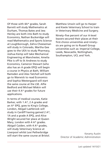Of those with 4A\* grades, Sarah Barrett will study Mathematics at Durham, Thomas Bates and Jess Henley are both into Bath to study Economics, Nathan Buckeridge will read Mathematics and Sports Science at Loughborough, Zahra Cheeseman will study in Colorado, Martha Gee goes to the UEA to study Pharmacy, Joshua Kemp will take Mechanical Engineering at Manchester, Amelia Pike is off to St Andrews to study Economics, Cameron Stewart (who also has an A grade EPQ) will begin a course in Physics at Bath, William Ramsden and Alex Tatchell will both go to Warwick to read Economics and Sophia Westergaard will start the same course at the LSE. Alfie Bedford and Michael Miskin will use their 4 A\* grades for future applications.

In terms of medical courses, Katie Barker, with 1 A\*, 2 A grades and an A\* EPQ, goes to King's College, London, Abigail Lashbrook will study in Cardiff having gained 2 A\*, 1A and a grade A EPQ, and Alice Wright secured her place at Queen Mary, London with 4 A\* grades. Abigail Caiden, with 4 A\* grades, will study Veterinary Science at Liverpool whilst Lexi Petherbridge will start the same course at Bristol.

Matthew Unwin will go to Harper and Keele Veterinary School to train in Veterinary Medicine and Surgery.

Ninety–five percent of our A-level leavers secured their places at their first-choice universities and ninety– six are going on to Russell Group universities such as: Imperial College, Leeds, Newcastle, Nottingham, Southampton, UCL and York.

Keramy Austin Director of Academic Administration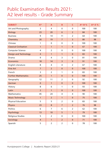# Public Examination Results 2021: A2 level results - Grade Summary

| <b>SUBJECT</b>                | A*             | A              | B              | C              | $A*-B$ % | $A^{\star}$ -E % |
|-------------------------------|----------------|----------------|----------------|----------------|----------|------------------|
| Art and Photography           | 3              | 4              | $\mathbf 0$    | $\mathbf 0$    | 100      | 100              |
| <b>Biology</b>                | 23             | 20             | 6              | $\overline{2}$ | 84       | 100              |
| <b>Business</b>               | 9              | 14             | 11             | 2              | 64       | 100              |
| Chemistry                     | 26             | 19             | $\overline{7}$ | 3              | 80       | 98               |
| Chinese                       | $\mathbf{1}$   | $\mathbf 0$    | $\mathbf 0$    | 0              | 100      | 100              |
| <b>Classical Civilisation</b> | $\mathbf{1}$   | $\mathbf{1}$   | $\mathbf{1}$   | $\mathbf 0$    | 67       | 100              |
| Computer Science              | 4              | $\overline{2}$ | $\mathbf 0$    | $\mathbf 0$    | 100      | 100              |
| <b>Design and Technology</b>  | $\overline{4}$ | $\mathbf{1}$   | $\mathbf{1}$   | $\mathbf 0$    | 83       | 100              |
| Drama                         | 9              | 4              | 3              | $\mathbf 0$    | 81       | 100              |
| <b>Economics</b>              | 18             | 14             | $\overline{3}$ | $\mathbf{0}$   | 91       | 100              |
| English Literature            | 8              | 4              | 4              | $\overline{2}$ | 67       | 100              |
| <b>Fine Art</b>               | $\overline{7}$ | $\overline{2}$ | $\mathbf 0$    | $\bf{0}$       | 100      | 100              |
| French                        | 3              | $\overline{2}$ | 1              | 0              | 83       | 100              |
| <b>Further Mathematics</b>    | 25             | $\mathbf{1}$   | $\mathbf 0$    | $\mathbf{0}$   | 100      | 100              |
| Geography                     | 12             | 11             | $\overline{2}$ | $\mathbf 0$    | 92       | 100              |
| German                        | $\pmb{0}$      | $\mathbf{1}$   | $\mathbf{0}$   | $\mathbf 0$    | 100      | 100              |
| History                       | 8              | 6              | 1              | $\mathbf 0$    | 93       | 100              |
| Latin                         | $\overline{2}$ | $\mathbf{1}$   | $\mathbf{0}$   | $\mathbf{0}$   | 100      | 100              |
| <b>Mathematics</b>            | 45             | 24             | 4              | 4              | 90       | 100              |
| <b>Music Technology</b>       | $\mathbf{1}$   | $\overline{2}$ | $\mathbf{1}$   | $\mathbf{0}$   | 75       | 100              |
| <b>Physical Education</b>     | 5              | 5              | $\overline{2}$ | $\mathbf 0$    | 83       | 100              |
| <b>Physics</b>                | 23             | 8              | $\overline{7}$ | $\overline{2}$ | 76       | 98               |
| Politics                      | 6              | $\overline{7}$ | 6              | $\overline{2}$ | 62       | 100              |
| Psychology                    | 13             | 10             | 5              | $\mathbf{1}$   | 79       | 100              |
| <b>Religious Studies</b>      | 5              | $\overline{2}$ | $\mathbf 0$    | $\mathbf 0$    | 100      | 100              |
| Sociology                     | $\overline{4}$ | $\mathbf{1}$   | $\overline{2}$ | $\mathbf 0$    | 71       | 100              |
| Spanish                       | 5              | $\overline{2}$ | $\overline{2}$ | 0              | 78       | 100              |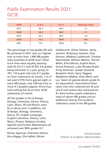# Public Examination Results 2021: GCSE

| <b>YEAR</b> | $9 - 8%$ | $9 - 4 %$ | <b>Points per entry</b> |
|-------------|----------|-----------|-------------------------|
| 2017        | 40.4     | 99.4      | 7.1                     |
| 2018        | 43.3     | 98.5      | 7.1                     |
| 2019        | 64.7     | 99.6      | 7.8                     |
| 2020        | 70.3     | 100.0     | 8.0                     |
| 2021        | 76.1     | 100.0     | 8.2                     |

The percentage of top grades (9s and 8s) achieved in 2021 was our highest ever as more than 1,400 9/8 grades were awarded at GCSE level. Other score lines were equally pleasing with 92.2% 9-7 and 97.8% 9-6 grades being achieved. In a year group of 187, 133 pupils had only 9-7 grades on their statements of results, 112 of last year's Fifth Form gained eight or more 9/8 passes, and 138 had nine or more 9-7 graded subjects; thirty-four had nothing but 9s on their GCSE statements of results.

All the grades in Art & Design, Biology, Chemistry, Dance, History, Latin, Music, PE and Physics were 6s or above and, in addition, Art & Design, Biology, Chemistry, Dance, DT, English Language, English Literature, History, Latin, Music, Physics, Religious Studies, Spanish and Further Mathematics all achieved over 90% grades 9-7.

Rohan Agarwal, Charlotte Ashton, Rory Biggar, Ella Hallett, Nicole

Holdsworth, Oliver Holmes, Jenna Jackson, Rosemary Jemison, Amy Kenyon, Madison Lashbrook, Thomas Manchester, William Mathur, Harriet Miller, Elina Moore, Sophie Noon, Emma Paterson, Luke Rhodes-Doyle, Emily Sherman, Joseph Steward, Benjamin Stott, Harry Taggart, Madeleine Walker, Alice Welch and Luc Yassin all gained eleven grade 9s (or equivalent). Close behind them came nine who collected ten 9s and one 8 and twelve who achieved ten 9s. Nine further pupils collected a total of eleven 9/8 grades and an additional twenty-five students collected a total of ten 9/8 grades.

Keramy Austin Director of Academic Administration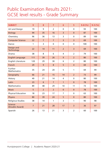# Public Examination Results 2021: GCSE level results - Grade Summary

| <b>SUBJECT</b>                | 9              | 8              | $\overline{7}$ | $6\phantom{a}$ | 5              | $9 - 8$ (%) | $9 - 5$ (%) |
|-------------------------------|----------------|----------------|----------------|----------------|----------------|-------------|-------------|
| Art and Design                | 19             | 9              | $\overline{2}$ | $\mathbf{0}$   | $\mathbf{0}$   | 93          | 100         |
| <b>Biology</b>                | 94             | 35             | 16             | 3              | $\mathbf{0}$   | 87          | 100         |
| Chemistry                     | 96             | 36             | 13             | 3              | $\mathbf{0}$   | 89          | 100         |
| <b>Computer Science</b>       | 22             | $\overline{7}$ | $\overline{7}$ | 3              | $\overline{3}$ | 69          | 100         |
| Dance                         | $\mathbf{1}$   | 3              | $\mathbf 0$    | $\mathbf 0$    | $\Omega$       | 100         | 100         |
| Design and<br>Technology      | 22             | 14             | 11             | $\overline{2}$ | 3              | 69          | 100         |
| Drama                         | 38             | 8              | 6              | 4              | $\overline{2}$ | 79          | 100         |
| <b>English Language</b>       | 111            | 39             | 26             | 9              | $\overline{2}$ | 80          | 100         |
| <b>English Literature</b>     | 120            | 29             | 30             | 6              | 2              | 80          | 100         |
| French                        | 29             | 9              | 8              | 5              | $\overline{4}$ | 69          | 100         |
| Further<br><b>Mathematics</b> | 35             | 24             | 20             | 5              | 1              | 69          | 99          |
| Geography                     | 66             | 21             | 15             | 14             | $\overline{2}$ | 73          | 99          |
| History                       | 49             | 21             | 14             | 4              | $\Omega$       | 80          | 100         |
| Latin                         | 23             | 6              | $\overline{7}$ | $\mathbf{1}$   | $\mathbf{0}$   | 78          | 100         |
| <b>Mathematics</b>            | 89             | 48             | 29             | 10             | 11             | 73          | 100         |
| <b>Music</b>                  | 5              | $\overline{2}$ | $\overline{2}$ | $\mathbf{0}$   | $\mathbf{0}$   | 78          | 100         |
| <b>Physical Education</b>     | 18             | 23             | 17             | $\overline{7}$ | $\Omega$       | 63          | 100         |
| <b>Physics</b>                | 80             | 39             | 24             | 5              | $\overline{0}$ | 80          | 100         |
| <b>Religious Studies</b>      | 38             | 14             | 1              | 3              | 1              | 90          | 98          |
| Science<br>(Double Award)     | $\overline{7}$ | 21             | 28             | 17             | $\overline{3}$ | 36          | 97          |
| Spanish                       | 26             | 13             | 21             | 3              | $\overline{2}$ | 60          | 100         |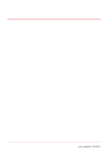Last updated 14/10/21